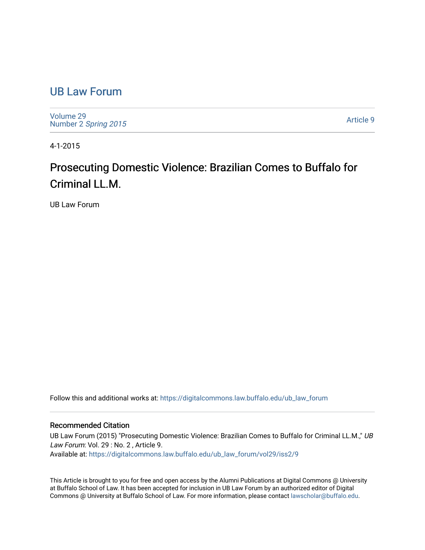## [UB Law Forum](https://digitalcommons.law.buffalo.edu/ub_law_forum)

[Volume 29](https://digitalcommons.law.buffalo.edu/ub_law_forum/vol29) Number 2 [Spring 2015](https://digitalcommons.law.buffalo.edu/ub_law_forum/vol29/iss2) 

[Article 9](https://digitalcommons.law.buffalo.edu/ub_law_forum/vol29/iss2/9) 

4-1-2015

## Prosecuting Domestic Violence: Brazilian Comes to Buffalo for Criminal LL.M.

UB Law Forum

Follow this and additional works at: [https://digitalcommons.law.buffalo.edu/ub\\_law\\_forum](https://digitalcommons.law.buffalo.edu/ub_law_forum?utm_source=digitalcommons.law.buffalo.edu%2Fub_law_forum%2Fvol29%2Fiss2%2F9&utm_medium=PDF&utm_campaign=PDFCoverPages) 

## Recommended Citation

UB Law Forum (2015) "Prosecuting Domestic Violence: Brazilian Comes to Buffalo for Criminal LL.M.," UB Law Forum: Vol. 29 : No. 2, Article 9. Available at: [https://digitalcommons.law.buffalo.edu/ub\\_law\\_forum/vol29/iss2/9](https://digitalcommons.law.buffalo.edu/ub_law_forum/vol29/iss2/9?utm_source=digitalcommons.law.buffalo.edu%2Fub_law_forum%2Fvol29%2Fiss2%2F9&utm_medium=PDF&utm_campaign=PDFCoverPages)

This Article is brought to you for free and open access by the Alumni Publications at Digital Commons @ University at Buffalo School of Law. It has been accepted for inclusion in UB Law Forum by an authorized editor of Digital Commons @ University at Buffalo School of Law. For more information, please contact [lawscholar@buffalo.edu](mailto:lawscholar@buffalo.edu).